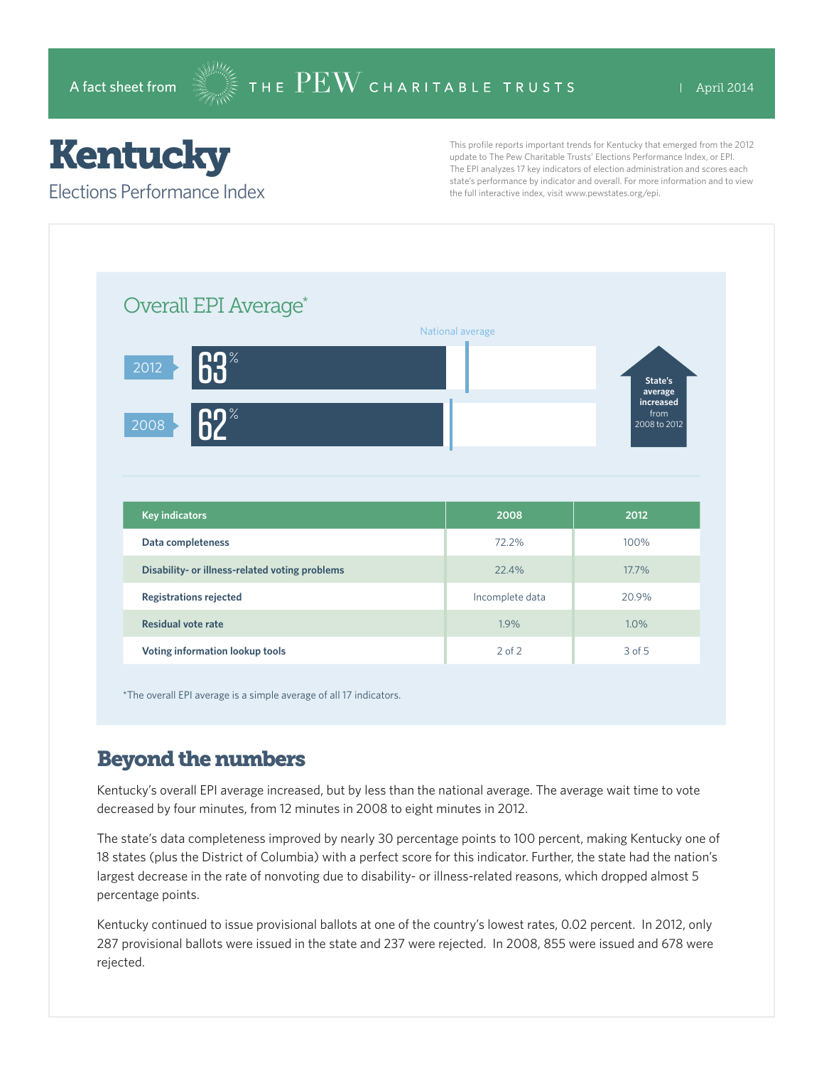## **Kentucky**

Elections Performance Index

This profile reports important trends for Kentucky that emerged from the 2012 update to The Pew Charitable Trusts' Elections Performance Index, or EPI. The EPI analyzes 17 key indicators of election administration and scores each state's performance by indicator and overall. For more information and to view the full interactive index, visit www.pewstates.org/epi.

| Overall EPI Average*                           |                  |                                   |
|------------------------------------------------|------------------|-----------------------------------|
|                                                | National average |                                   |
| 63 <sup>°</sup><br>2012                        |                  | State's<br>average                |
| $62^*$<br>2008                                 |                  | increased<br>from<br>2008 to 2012 |
|                                                |                  |                                   |
|                                                |                  |                                   |
| <b>Key indicators</b>                          | 2008             | 2012                              |
| Data completeness                              | 72.2%            | 100%                              |
| Disability- or illness-related voting problems | 22.4%            | 17.7%                             |
| <b>Registrations rejected</b>                  | Incomplete data  | 20.9%                             |
| <b>Residual vote rate</b>                      | 1.9%             | 1.0%                              |

\*The overall EPI average is a simple average of all 17 indicators.

## Beyond the numbers

Kentucky's overall EPI average increased, but by less than the national average. The average wait time to vote decreased by four minutes, from 12 minutes in 2008 to eight minutes in 2012.

The state's data completeness improved by nearly 30 percentage points to 100 percent, making Kentucky one of 18 states (plus the District of Columbia) with a perfect score for this indicator. Further, the state had the nation's largest decrease in the rate of nonvoting due to disability- or illness-related reasons, which dropped almost 5 percentage points.

Kentucky continued to issue provisional ballots at one of the country's lowest rates, 0.02 percent. In 2012, only 287 provisional ballots were issued in the state and 237 were rejected. In 2008, 855 were issued and 678 were rejected.